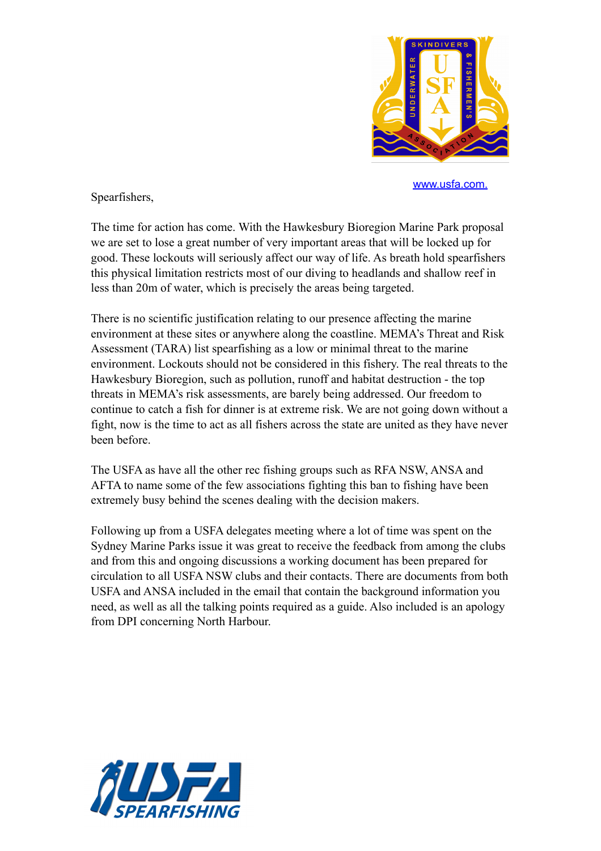

[www.usfa.com.](http://www.usfa.com.a)

Spearfishers,

The time for action has come. With the Hawkesbury Bioregion Marine Park proposal we are set to lose a great number of very important areas that will be locked up for good. These lockouts will seriously affect our way of life. As breath hold spearfishers this physical limitation restricts most of our diving to headlands and shallow reef in less than 20m of water, which is precisely the areas being targeted.

There is no scientific justification relating to our presence affecting the marine environment at these sites or anywhere along the coastline. MEMA's Threat and Risk Assessment (TARA) list spearfishing as a low or minimal threat to the marine environment. Lockouts should not be considered in this fishery. The real threats to the Hawkesbury Bioregion, such as pollution, runoff and habitat destruction - the top threats in MEMA's risk assessments, are barely being addressed. Our freedom to continue to catch a fish for dinner is at extreme risk. We are not going down without a fight, now is the time to act as all fishers across the state are united as they have never been before.

The USFA as have all the other rec fishing groups such as RFA NSW, ANSA and AFTA to name some of the few associations fighting this ban to fishing have been extremely busy behind the scenes dealing with the decision makers.

Following up from a USFA delegates meeting where a lot of time was spent on the Sydney Marine Parks issue it was great to receive the feedback from among the clubs and from this and ongoing discussions a working document has been prepared for circulation to all USFA NSW clubs and their contacts. There are documents from both USFA and ANSA included in the email that contain the background information you need, as well as all the talking points required as a guide. Also included is an apology from DPI concerning North Harbour.